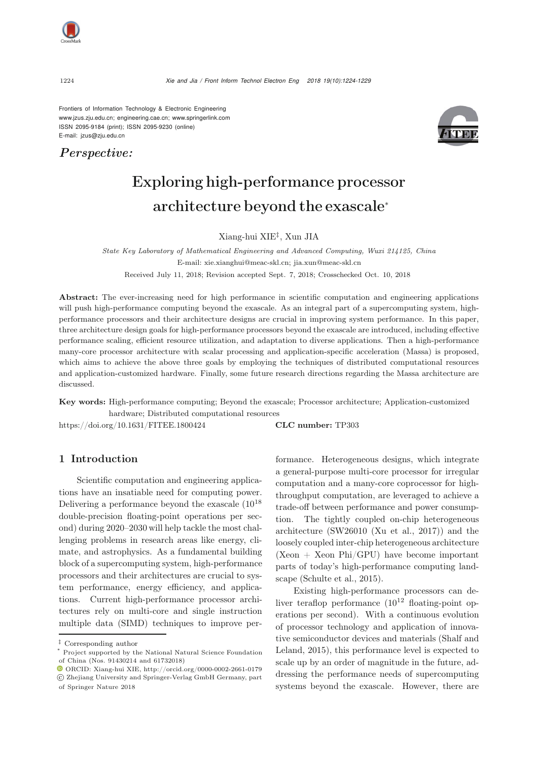

Frontiers of Information Technology & Electronic Engineering [www.jzus.zju.edu.cn;](www.jzus.zju.edu.cn) [engineering.cae.cn;](engineering.cae.cn)<www.springerlink.com> ISSN 2095-9184 (print); ISSN 2095-9230 (online) E-mail: jzus@zju.edu.cn

*Perspective:*



# Exploring high-performance processor architecture beyond the exascale<sup>∗</sup>

Xiang-hui XIE*‡*, Xun JIA

*State Key Laboratory of Mathematical Engineering and Advanced Computing, Wuxi 214125, China* E-mail: xie.xianghui@meac-skl.cn; jia.xun@meac-skl.cn Received July 11, 2018; Revision accepted Sept. 7, 2018; Crosschecked Oct. 10, 2018

Abstract: The ever-increasing need for high performance in scientific computation and engineering applications will push high-performance computing beyond the exascale. As an integral part of a supercomputing system, highperformance processors and their architecture designs are crucial in improving system performance. In this paper, three architecture design goals for high-performance processors beyond the exascale are introduced, including effective performance scaling, efficient resource utilization, and adaptation to diverse applications. Then a high-performance many-core processor architecture with scalar processing and application-specific acceleration (Massa) is proposed, which aims to achieve the above three goals by employing the techniques of distributed computational resources and application-customized hardware. Finally, some future research directions regarding the Massa architecture are discussed.

Key words: High-performance computing; Beyond the exascale; Processor architecture; Application-customized hardware; Distributed computational resources

https://doi.org/10.1631/FITEE.1800424 **CLC number:** TP303

## 1 Introduction

Scientific computation and engineering applications have an insatiable need for computing power. Delivering a performance beyond the exascale  $(10^{18}$ double-precision floating-point operations per second) during 2020–2030 will help tackle the most challenging problems in research areas like energy, climate, and astrophysics. As a fundamental building block of a supercomputing system, high-performance processors and their architectures are crucial to system performance, energy efficiency, and applications. Current high-performance processor architectures rely on multi-core and single instruction multiple data (SIMD) techniques to improve performance. Heterogeneous designs, which integrate a general-purpose multi-core processor for irregular computation and a many-core coprocessor for highthroughput computation, are leveraged to achieve a trade-off between performance and power consumption. The tightly coupled on-chip heterogeneous architecture (SW26010 [\(Xu et al., 2017](#page-5-0))) and the loosely coupled inter-chip heterogeneous architecture  $(Xeon + Xeon Phi/GPU)$  have become important parts of today's high-performance computing landscape [\(Schulte et al., 2015\)](#page-5-1).

Existing high-performance processors can deliver teraflop performance  $(10^{12}$  floating-point operations per second). With a continuous evolution of processor technology and application of innovative se[miconductor](#page-5-2) [devices](#page-5-2) [and](#page-5-2) [materials](#page-5-2) [\(](#page-5-2)Shalf and Leland, [2015\)](#page-5-2), this performance level is expected to scale up by an order of magnitude in the future, addressing the performance needs of supercomputing systems beyond the exascale. However, there are

*<sup>‡</sup>* Corresponding author

<sup>\*</sup> Project supported by the National Natural Science Foundation of China (Nos. 91430214 and 61732018)

ORCID: Xiang-hui XIE, http://orcid.org/0000-0002-2661-0179 c Zhejiang University and Springer-Verlag GmbH Germany, part of Springer Nature 2018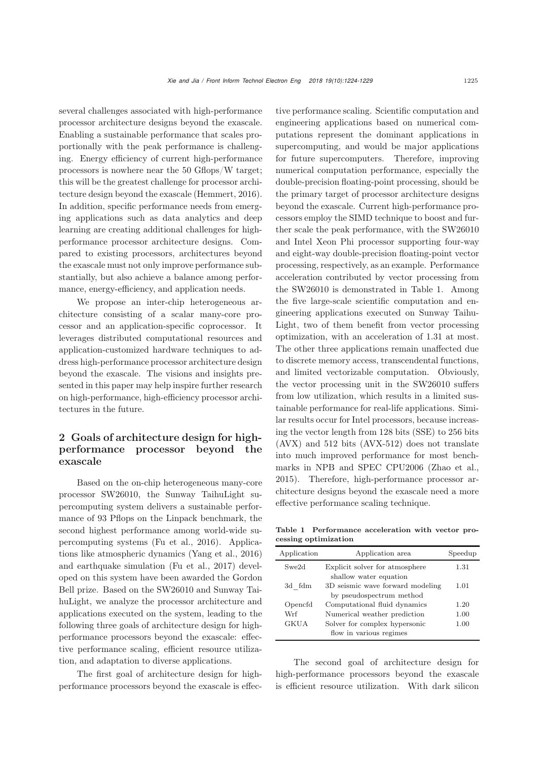several challenges associated with high-performance processor architecture designs beyond the exascale. Enabling a sustainable performance that scales proportionally with the peak performance is challenging. Energy efficiency of current high-performance processors is nowhere near the 50 Gflops/W target; this will be the greatest challenge for processor architecture design beyond the exascale [\(Hemmert, 2016\)](#page-4-0). In addition, specific performance needs from emerging applications such as data analytics and deep learning are creating additional challenges for highperformance processor architecture designs. Compared to existing processors, architectures beyond the exascale must not only improve performance substantially, but also achieve a balance among performance, energy-efficiency, and application needs.

We propose an inter-chip heterogeneous architecture consisting of a scalar many-core processor and an application-specific coprocessor. It leverages distributed computational resources and application-customized hardware techniques to address high-performance processor architecture design beyond the exascale. The visions and insights presented in this paper may help inspire further research on high-performance, high-efficiency processor architectures in the future.

## 2 Goals of architecture design for highperformance processor beyond the exascale

Based on the on-chip heterogeneous many-core processor SW26010, the Sunway TaihuLight supercomputing system delivers a sustainable performance of 93 Pflops on the Linpack benchmark, the second highest performance among world-wide supercomputing systems [\(Fu et al.](#page-4-1), [2016](#page-4-1)). Applications like atmospheric dynamics [\(Yang et al.](#page-5-3), [2016\)](#page-5-3) and earthquake simulation [\(Fu et al., 2017\)](#page-4-2) developed on this system have been awarded the Gordon Bell prize. Based on the SW26010 and Sunway TaihuLight, we analyze the processor architecture and applications executed on the system, leading to the following three goals of architecture design for highperformance processors beyond the exascale: effective performance scaling, efficient resource utilization, and adaptation to diverse applications.

The first goal of architecture design for highperformance processors beyond the exascale is effective performance scaling. Scientific computation and engineering applications based on numerical computations represent the dominant applications in supercomputing, and would be major applications for future supercomputers. Therefore, improving numerical computation performance, especially the double-precision floating-point processing, should be the primary target of processor architecture designs beyond the exascale. Current high-performance processors employ the SIMD technique to boost and further scale the peak performance, with the SW26010 and Intel Xeon Phi processor supporting four-way and eight-way double-precision floating-point vector processing, respectively, as an example. Performance acceleration contributed by vector processing from the SW26010 is demonstrated in Table 1. Among the five large-scale scientific computation and engineering applications executed on Sunway Taihu-Light, two of them benefit from vector processing optimization, with an acceleration of 1.31 at most. The other three applications remain unaffected due to discrete memory access, transcendental functions, and limited vectorizable computation. Obviously, the vector processing unit in the SW26010 suffers from low utilization, which results in a limited sustainable performance for real-life applications. Similar results occur for Intel processors, because increasing the vector length from 128 bits (SSE) to 256 bits (AVX) and 512 bits (AVX-512) does not translate into much improved performance for most benchmarks in NPB and SPEC CPU2006 [\(Zhao et al.](#page-5-4), [2015](#page-5-4)). Therefore, high-performance processor architecture designs beyond the exascale need a more effective performance scaling technique.

Table 1 Performance acceleration with vector processing optimization

| Application | Application area                                             | Speedup |
|-------------|--------------------------------------------------------------|---------|
| Swe2d       | Explicit solver for atmosphere<br>shallow water equation     | 1.31    |
| 3d fdm      | 3D seismic wave forward modeling<br>by pseudospectrum method | 1.01    |
| Opencfd     | Computational fluid dynamics                                 | 1.20    |
| Wrf         | Numerical weather prediction                                 | 1.00    |
| <b>GKUA</b> | Solver for complex hypersonic<br>flow in various regimes     | 1.00    |

The second goal of architecture design for high-performance processors beyond the exascale is efficient resource utilization. With dark silicon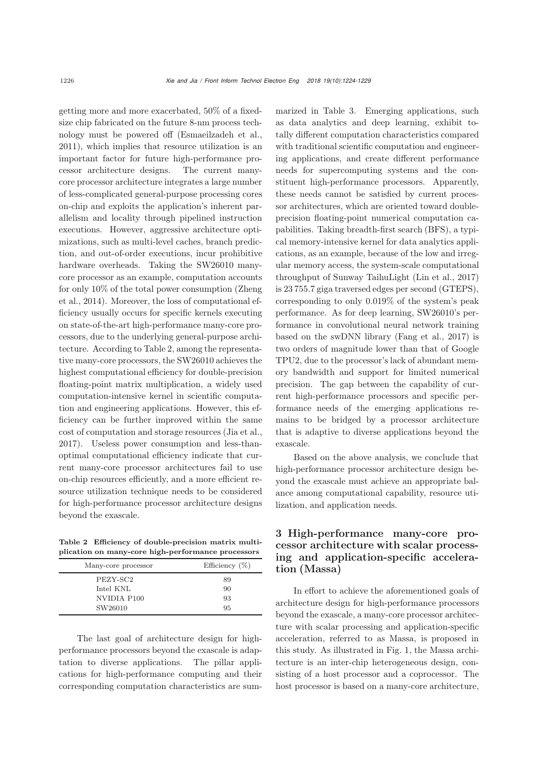getting more and more exacerbated, 50% of a fixedsize chip fabricated on the future 8-nm process technology must be powered off [\(Esmaeilzadeh et al.](#page-4-3), [2011](#page-4-3)), which implies that resource utilization is an important factor for future high-performance processor architecture designs. The current manycore processor architecture integrates a large number of less-complicated general-purpose processing cores on-chip and exploits the application's inherent parallelism and locality through pipelined instruction executions. However, aggressive architecture optimizations, such as multi-level caches, branch prediction, and out-of-order executions, incur prohibitive hardware overheads. Taking the SW26010 manycore processor as an example, computation accounts for o[nly](#page-5-5) [10%](#page-5-5) [of](#page-5-5) [the](#page-5-5) [total](#page-5-5) [power](#page-5-5) [consumption](#page-5-5) [\(](#page-5-5)Zheng et al., [2014](#page-5-5)). Moreover, the loss of computational efficiency usually occurs for specific kernels executing on state-of-the-art high-performance many-core processors, due to the underlying general-purpose architecture. According to Table 2, among the representative many-core processors, the SW26010 achieves the highest computational efficiency for double-precision floating-point matrix multiplication, a widely used computation-intensive kernel in scientific computation and engineering applications. However, this efficiency can be further improved within the same cost of computation and storage resources [\(Jia et al.](#page-4-4), [2017](#page-4-4)). Useless power consumption and less-thanoptimal computational efficiency indicate that current many-core processor architectures fail to use on-chip resources efficiently, and a more efficient resource utilization technique needs to be considered for high-performance processor architecture designs beyond the exascale.

Table 2 Efficiency of double-precision matrix multiplication on many-core high-performance processors

| Many-core processor | Efficiency $(\%)$ |
|---------------------|-------------------|
| PEZY-SC2            | 89                |
| Intel KNL           | 90                |
| NVIDIA P100         | 93                |
| SW26010             | 95                |

The last goal of architecture design for highperformance processors beyond the exascale is adaptation to diverse applications. The pillar applications for high-performance computing and their corresponding computation characteristics are summarized in Table 3. Emerging applications, such as data analytics and deep learning, exhibit totally different computation characteristics compared with traditional scientific computation and engineering applications, and create different performance needs for supercomputing systems and the constituent high-performance processors. Apparently, these needs cannot be satisfied by current processor architectures, which are oriented toward doubleprecision floating-point numerical computation capabilities. Taking breadth-first search (BFS), a typical memory-intensive kernel for data analytics applications, as an example, because of the low and irregular memory access, the system-scale computational throughput of Sunway TaihuLight [\(Lin et al.](#page-5-6), [2017](#page-5-6)) is 23 755.7 giga traversed edges per second (GTEPS), corresponding to only 0.019% of the system's peak performance. As for deep learning, SW26010's performance in convolutional neural network training based on the swDNN library [\(Fang et al., 2017\)](#page-4-5) is two orders of magnitude lower than that of Google TPU2, due to the processor's lack of abundant memory bandwidth and support for limited numerical precision. The gap between the capability of current high-performance processors and specific performance needs of the emerging applications remains to be bridged by a processor architecture that is adaptive to diverse applications beyond the exascale.

Based on the above analysis, we conclude that high-performance processor architecture design beyond the exascale must achieve an appropriate balance among computational capability, resource utilization, and application needs.

## 3 High-performance many-core processor architecture with scalar processing and application-specific acceleration (Massa)

In effort to achieve the aforementioned goals of architecture design for high-performance processors beyond the exascale, a many-core processor architecture with scalar processing and application-specific acceleration, referred to as Massa, is proposed in this study. As illustrated in Fig. 1, the Massa architecture is an inter-chip heterogeneous design, consisting of a host processor and a coprocessor. The host processor is based on a many-core architecture,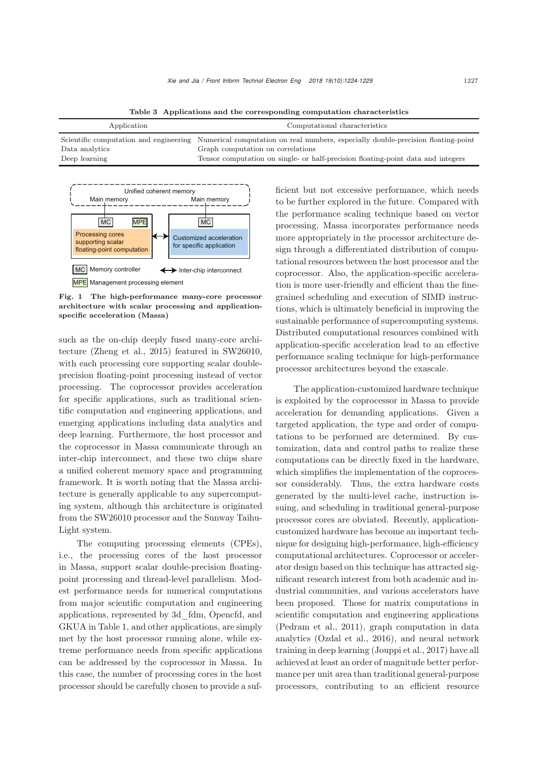Table 3 Applications and the corresponding computation characteristics

| Application                     | Computational characteristics                                                                                                                                                                                                                     |
|---------------------------------|---------------------------------------------------------------------------------------------------------------------------------------------------------------------------------------------------------------------------------------------------|
| Data analytics<br>Deep learning | Scientific computation and engineering Numerical computation on real numbers, especially double-precision floating-point<br>Graph computation on correlations<br>Tensor computation on single- or half-precision floating-point data and integers |



Fig. 1 The high-performance many-core processor architecture with scalar processing and applicationspecific acceleration (Massa)

such as the on-chip deeply fused many-core architecture [\(Zheng et al.](#page-5-7), [2015\)](#page-5-7) featured in SW26010, with each processing core supporting scalar doubleprecision floating-point processing instead of vector processing. The coprocessor provides acceleration for specific applications, such as traditional scientific computation and engineering applications, and emerging applications including data analytics and deep learning. Furthermore, the host processor and the coprocessor in Massa communicate through an inter-chip interconnect, and these two chips share a unified coherent memory space and programming framework. It is worth noting that the Massa architecture is generally applicable to any supercomputing system, although this architecture is originated from the SW26010 processor and the Sunway Taihu-Light system.

The computing processing elements (CPEs), i.e., the processing cores of the host processor in Massa, support scalar double-precision floatingpoint processing and thread-level parallelism. Modest performance needs for numerical computations from major scientific computation and engineering applications, represented by 3d\_fdm, Opencfd, and GKUA in Table 1, and other applications, are simply met by the host processor running alone, while extreme performance needs from specific applications can be addressed by the coprocessor in Massa. In this case, the number of processing cores in the host processor should be carefully chosen to provide a sufficient but not excessive performance, which needs to be further explored in the future. Compared with the performance scaling technique based on vector processing, Massa incorporates performance needs more appropriately in the processor architecture design through a differentiated distribution of computational resources between the host processor and the coprocessor. Also, the application-specific acceleration is more user-friendly and efficient than the finegrained scheduling and execution of SIMD instructions, which is ultimately beneficial in improving the sustainable performance of supercomputing systems. Distributed computational resources combined with application-specific acceleration lead to an effective performance scaling technique for high-performance processor architectures beyond the exascale.

The application-customized hardware technique is exploited by the coprocessor in Massa to provide acceleration for demanding applications. Given a targeted application, the type and order of computations to be performed are determined. By customization, data and control paths to realize these computations can be directly fixed in the hardware, which simplifies the implementation of the coprocessor considerably. Thus, the extra hardware costs generated by the multi-level cache, instruction issuing, and scheduling in traditional general-purpose processor cores are obviated. Recently, applicationcustomized hardware has become an important technique for designing high-performance, high-efficiency computational architectures. Coprocessor or accelerator design based on this technique has attracted significant research interest from both academic and industrial communities, and various accelerators have been proposed. Those for matrix computations in scientific computation and engineering applications [\(Pedram et al., 2011\)](#page-5-8), graph computation in data analytics [\(Ozdal et al.](#page-5-9), [2016](#page-5-9)), and neural network training in deep learning [\(Jouppi et al.](#page-5-10), [2017](#page-5-10)) have all achieved at least an order of magnitude better performance per unit area than traditional general-purpose processors, contributing to an efficient resource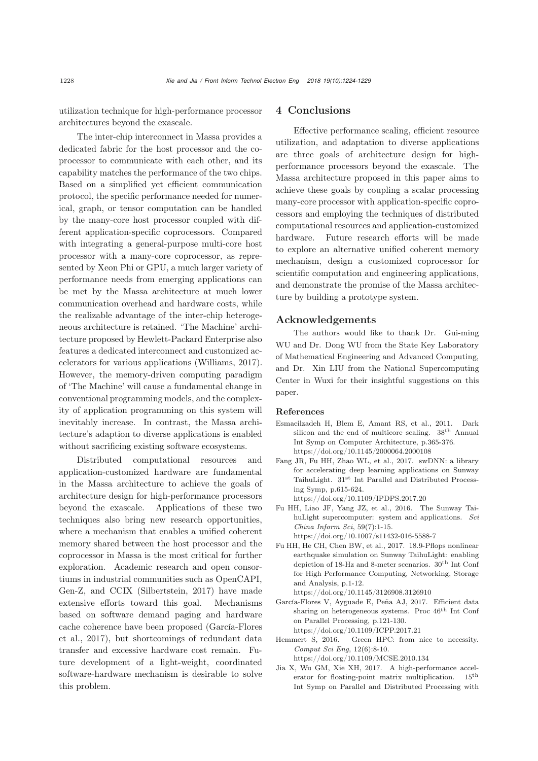utilization technique for high-performance processor architectures beyond the exascale.

The inter-chip interconnect in Massa provides a dedicated fabric for the host processor and the coprocessor to communicate with each other, and its capability matches the performance of the two chips. Based on a simplified yet efficient communication protocol, the specific performance needed for numerical, graph, or tensor computation can be handled by the many-core host processor coupled with different application-specific coprocessors. Compared with integrating a general-purpose multi-core host processor with a many-core coprocessor, as represented by Xeon Phi or GPU, a much larger variety of performance needs from emerging applications can be met by the Massa architecture at much lower communication overhead and hardware costs, while the realizable advantage of the inter-chip heterogeneous architecture is retained. 'The Machine' architecture proposed by Hewlett-Packard Enterprise also features a dedicated interconnect and customized accelerators for various applications [\(Williams](#page-5-11), [2017\)](#page-5-11). However, the memory-driven computing paradigm of 'The Machine' will cause a fundamental change in conventional programming models, and the complexity of application programming on this system will inevitably increase. In contrast, the Massa architecture's adaption to diverse applications is enabled without sacrificing existing software ecosystems.

Distributed computational resources and application-customized hardware are fundamental in the Massa architecture to achieve the goals of architecture design for high-performance processors beyond the exascale. Applications of these two techniques also bring new research opportunities, where a mechanism that enables a unified coherent memory shared between the host processor and the coprocessor in Massa is the most critical for further exploration. Academic research and open consortiums in industrial communities such as OpenCAPI, Gen-Z, and CCIX [\(Silbertstein](#page-5-12), [2017](#page-5-12)) have made extensive efforts toward this goal. Mechanisms based on software demand paging and hardware cache [coherence](#page-4-6) [have](#page-4-6) [been](#page-4-6) proposed (García-Flores et al., [2017](#page-4-6)), but shortcomings of redundant data transfer and excessive hardware cost remain. Future development of a light-weight, coordinated software-hardware mechanism is desirable to solve this problem.

### 4 Conclusions

Effective performance scaling, efficient resource utilization, and adaptation to diverse applications are three goals of architecture design for highperformance processors beyond the exascale. The Massa architecture proposed in this paper aims to achieve these goals by coupling a scalar processing many-core processor with application-specific coprocessors and employing the techniques of distributed computational resources and application-customized hardware. Future research efforts will be made to explore an alternative unified coherent memory mechanism, design a customized coprocessor for scientific computation and engineering applications, and demonstrate the promise of the Massa architecture by building a prototype system.

### Acknowledgements

The authors would like to thank Dr. Gui-ming WU and Dr. Dong WU from the State Key Laboratory of Mathematical Engineering and Advanced Computing, and Dr. Xin LIU from the National Supercomputing Center in Wuxi for their insightful suggestions on this paper.

#### References

- <span id="page-4-3"></span>Esmaeilzadeh H, Blem E, Amant RS, et al., 2011. Dark silicon and the end of multicore scaling.  $38<sup>th</sup>$  Annual Int Symp on Computer Architecture, p.365-376. https://doi.org/10.1145/2000064.2000108
- <span id="page-4-5"></span>Fang JR, Fu HH, Zhao WL, et al., 2017. swDNN: a library for accelerating deep learning applications on Sunway TaihuLight. 31st Int Parallel and Distributed Processing Symp, p.615-624. https://doi.org/10.1109/IPDPS.2017.20
- <span id="page-4-1"></span>Fu HH, Liao JF, Yang JZ, et al., 2016. The Sunway TaihuLight supercomputer: system and applications. *Sci China Inform Sci*, 59(7):1-15. https://doi.org/10.1007/s11432-016-5588-7
- <span id="page-4-2"></span>Fu HH, He CH, Chen BW, et al., 2017. 18.9-Pflops nonlinear earthquake simulation on Sunway TaihuLight: enabling depiction of 18-Hz and 8-meter scenarios.  $30^{\rm th}$  Int Conf for High Performance Computing, Networking, Storage and Analysis, p.1-12. https://doi.org/10.1145/3126908.3126910
- <span id="page-4-6"></span>García-Flores V, Ayguade E, Peña AJ, 2017. Efficient data sharing on heterogeneous systems. Proc  $46<sup>th</sup>$  Int Conf on Parallel Processing, p.121-130. https://doi.org/10.1109/ICPP.2017.21
- <span id="page-4-0"></span>Hemmert S, 2016. Green HPC: from nice to necessity. *Comput Sci Eng*, 12(6):8-10.

https://doi.org/10.1109/MCSE.2010.134

<span id="page-4-4"></span>Jia X, Wu GM, Xie XH, 2017. A high-performance accelerator for floating-point matrix multiplication. 15th Int Symp on Parallel and Distributed Processing with